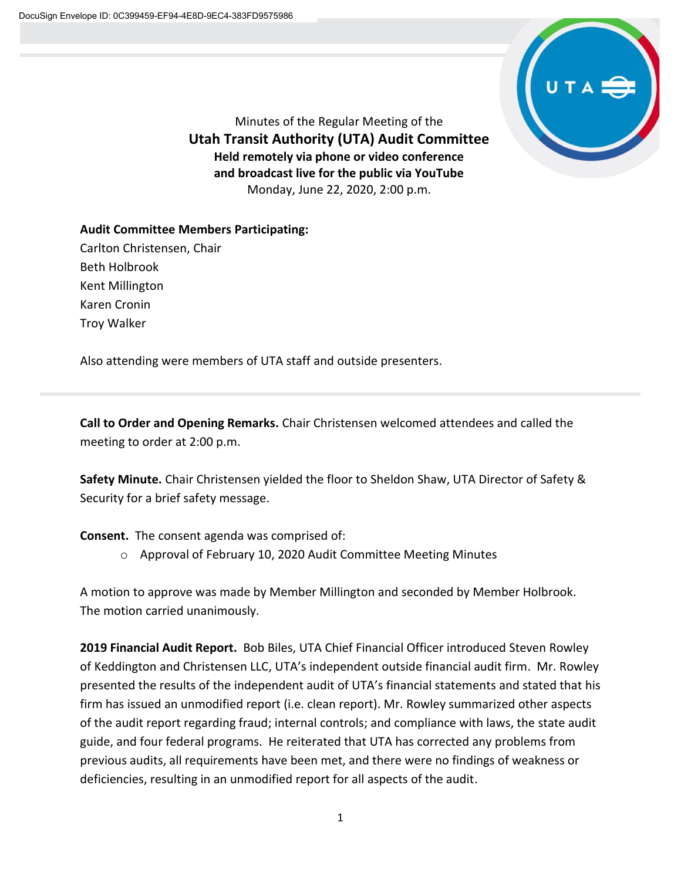

Minutes of the Regular Meeting of the **Utah Transit Authority (UTA) Audit Committee Held remotely via phone or video conference and broadcast live for the public via YouTube** Monday, June 22, 2020, 2:00 p.m.

**Audit Committee Members Participating:** Carlton Christensen, Chair Beth Holbrook Kent Millington Karen Cronin Troy Walker

Also attending were members of UTA staff and outside presenters.

**Call to Order and Opening Remarks.** Chair Christensen welcomed attendees and called the meeting to order at 2:00 p.m.

**Safety Minute.** Chair Christensen yielded the floor to Sheldon Shaw, UTA Director of Safety & Security for a brief safety message.

**Consent.** The consent agenda was comprised of:

o Approval of February 10, 2020 Audit Committee Meeting Minutes

A motion to approve was made by Member Millington and seconded by Member Holbrook. The motion carried unanimously.

**2019 Financial Audit Report.** Bob Biles, UTA Chief Financial Officer introduced Steven Rowley of Keddington and Christensen LLC, UTA's independent outside financial audit firm. Mr. Rowley presented the results of the independent audit of UTA's financial statements and stated that his firm has issued an unmodified report (i.e. clean report). Mr. Rowley summarized other aspects of the audit report regarding fraud; internal controls; and compliance with laws, the state audit guide, and four federal programs. He reiterated that UTA has corrected any problems from previous audits, all requirements have been met, and there were no findings of weakness or deficiencies, resulting in an unmodified report for all aspects of the audit.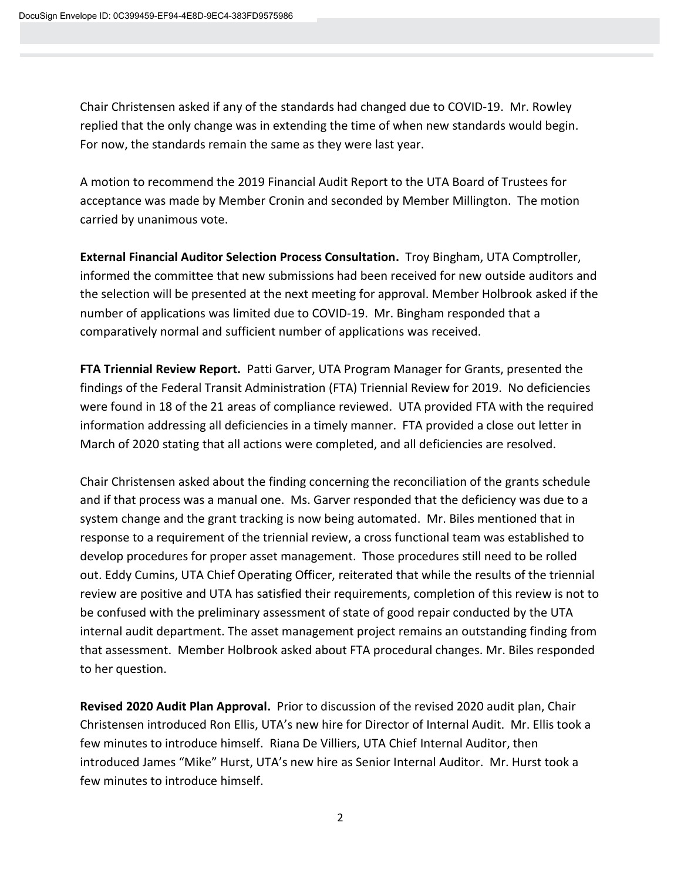Chair Christensen asked if any of the standards had changed due to COVID-19. Mr. Rowley replied that the only change was in extending the time of when new standards would begin. For now, the standards remain the same as they were last year.

A motion to recommend the 2019 Financial Audit Report to the UTA Board of Trustees for acceptance was made by Member Cronin and seconded by Member Millington. The motion carried by unanimous vote.

**External Financial Auditor Selection Process Consultation.** Troy Bingham, UTA Comptroller, informed the committee that new submissions had been received for new outside auditors and the selection will be presented at the next meeting for approval. Member Holbrook asked if the number of applications was limited due to COVID-19. Mr. Bingham responded that a comparatively normal and sufficient number of applications was received.

**FTA Triennial Review Report.** Patti Garver, UTA Program Manager for Grants, presented the findings of the Federal Transit Administration (FTA) Triennial Review for 2019. No deficiencies were found in 18 of the 21 areas of compliance reviewed. UTA provided FTA with the required information addressing all deficiencies in a timely manner. FTA provided a close out letter in March of 2020 stating that all actions were completed, and all deficiencies are resolved.

Chair Christensen asked about the finding concerning the reconciliation of the grants schedule and if that process was a manual one. Ms. Garver responded that the deficiency was due to a system change and the grant tracking is now being automated. Mr. Biles mentioned that in response to a requirement of the triennial review, a cross functional team was established to develop procedures for proper asset management. Those procedures still need to be rolled out. Eddy Cumins, UTA Chief Operating Officer, reiterated that while the results of the triennial review are positive and UTA has satisfied their requirements, completion of this review is not to be confused with the preliminary assessment of state of good repair conducted by the UTA internal audit department. The asset management project remains an outstanding finding from that assessment. Member Holbrook asked about FTA procedural changes. Mr. Biles responded to her question.

**Revised 2020 Audit Plan Approval.** Prior to discussion of the revised 2020 audit plan, Chair Christensen introduced Ron Ellis, UTA's new hire for Director of Internal Audit. Mr. Ellis took a few minutes to introduce himself. Riana De Villiers, UTA Chief Internal Auditor, then introduced James "Mike" Hurst, UTA's new hire as Senior Internal Auditor. Mr. Hurst took a few minutes to introduce himself.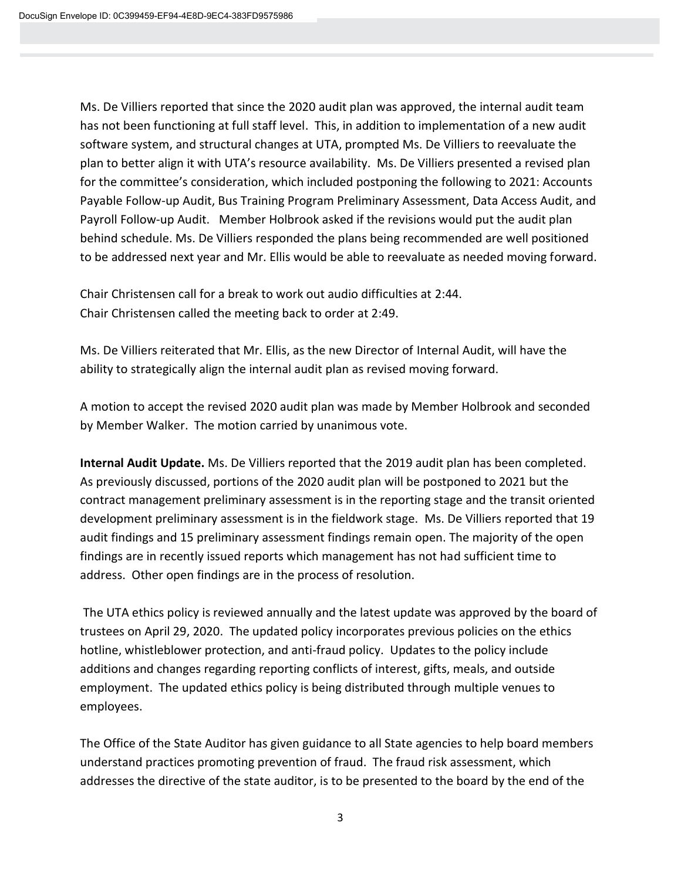Ms. De Villiers reported that since the 2020 audit plan was approved, the internal audit team has not been functioning at full staff level. This, in addition to implementation of a new audit software system, and structural changes at UTA, prompted Ms. De Villiers to reevaluate the plan to better align it with UTA's resource availability. Ms. De Villiers presented a revised plan for the committee's consideration, which included postponing the following to 2021: Accounts Payable Follow-up Audit, Bus Training Program Preliminary Assessment, Data Access Audit, and Payroll Follow-up Audit. Member Holbrook asked if the revisions would put the audit plan behind schedule. Ms. De Villiers responded the plans being recommended are well positioned to be addressed next year and Mr. Ellis would be able to reevaluate as needed moving forward.

Chair Christensen call for a break to work out audio difficulties at 2:44. Chair Christensen called the meeting back to order at 2:49.

Ms. De Villiers reiterated that Mr. Ellis, as the new Director of Internal Audit, will have the ability to strategically align the internal audit plan as revised moving forward.

A motion to accept the revised 2020 audit plan was made by Member Holbrook and seconded by Member Walker. The motion carried by unanimous vote.

**Internal Audit Update.** Ms. De Villiers reported that the 2019 audit plan has been completed. As previously discussed, portions of the 2020 audit plan will be postponed to 2021 but the contract management preliminary assessment is in the reporting stage and the transit oriented development preliminary assessment is in the fieldwork stage. Ms. De Villiers reported that 19 audit findings and 15 preliminary assessment findings remain open. The majority of the open findings are in recently issued reports which management has not had sufficient time to address. Other open findings are in the process of resolution.

The UTA ethics policy is reviewed annually and the latest update was approved by the board of trustees on April 29, 2020. The updated policy incorporates previous policies on the ethics hotline, whistleblower protection, and anti-fraud policy. Updates to the policy include additions and changes regarding reporting conflicts of interest, gifts, meals, and outside employment. The updated ethics policy is being distributed through multiple venues to employees.

The Office of the State Auditor has given guidance to all State agencies to help board members understand practices promoting prevention of fraud. The fraud risk assessment, which addresses the directive of the state auditor, is to be presented to the board by the end of the

3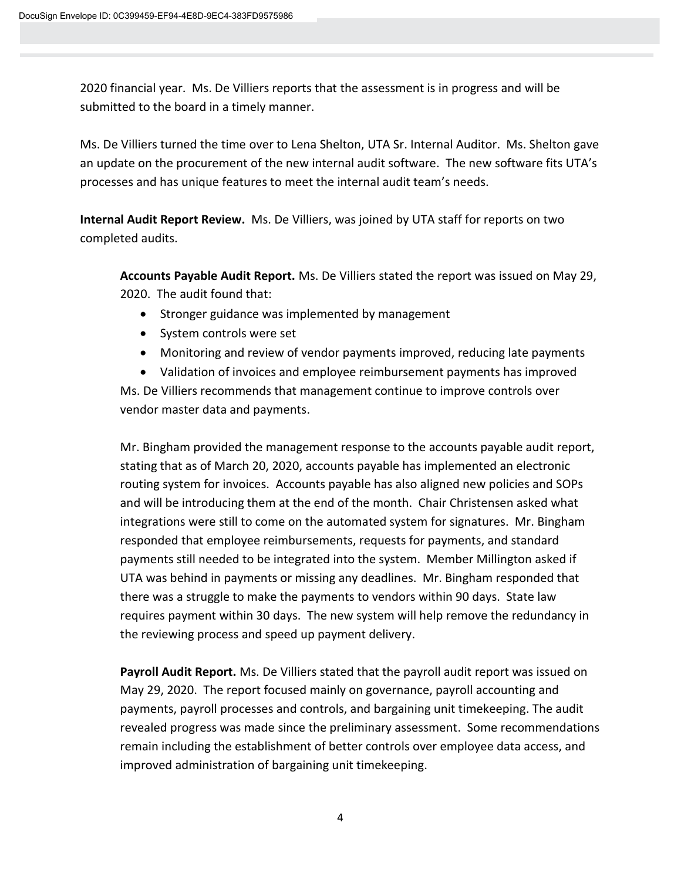2020 financial year. Ms. De Villiers reports that the assessment is in progress and will be submitted to the board in a timely manner.

Ms. De Villiers turned the time over to Lena Shelton, UTA Sr. Internal Auditor. Ms. Shelton gave an update on the procurement of the new internal audit software. The new software fits UTA's processes and has unique features to meet the internal audit team's needs.

**Internal Audit Report Review.** Ms. De Villiers, was joined by UTA staff for reports on two completed audits.

**Accounts Payable Audit Report.** Ms. De Villiers stated the report was issued on May 29, 2020. The audit found that:

- Stronger guidance was implemented by management
- System controls were set
- Monitoring and review of vendor payments improved, reducing late payments

• Validation of invoices and employee reimbursement payments has improved Ms. De Villiers recommends that management continue to improve controls over vendor master data and payments.

Mr. Bingham provided the management response to the accounts payable audit report, stating that as of March 20, 2020, accounts payable has implemented an electronic routing system for invoices. Accounts payable has also aligned new policies and SOPs and will be introducing them at the end of the month. Chair Christensen asked what integrations were still to come on the automated system for signatures. Mr. Bingham responded that employee reimbursements, requests for payments, and standard payments still needed to be integrated into the system. Member Millington asked if UTA was behind in payments or missing any deadlines. Mr. Bingham responded that there was a struggle to make the payments to vendors within 90 days. State law requires payment within 30 days. The new system will help remove the redundancy in the reviewing process and speed up payment delivery.

**Payroll Audit Report.** Ms. De Villiers stated that the payroll audit report was issued on May 29, 2020. The report focused mainly on governance, payroll accounting and payments, payroll processes and controls, and bargaining unit timekeeping. The audit revealed progress was made since the preliminary assessment. Some recommendations remain including the establishment of better controls over employee data access, and improved administration of bargaining unit timekeeping.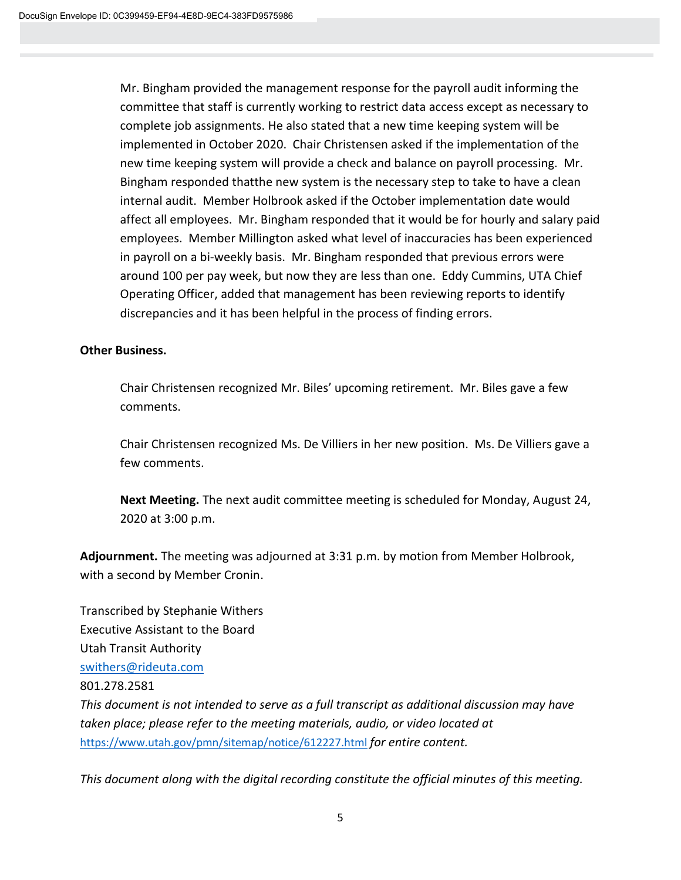Mr. Bingham provided the management response for the payroll audit informing the committee that staff is currently working to restrict data access except as necessary to complete job assignments. He also stated that a new time keeping system will be implemented in October 2020. Chair Christensen asked if the implementation of the new time keeping system will provide a check and balance on payroll processing. Mr. Bingham responded thatthe new system is the necessary step to take to have a clean internal audit. Member Holbrook asked if the October implementation date would affect all employees. Mr. Bingham responded that it would be for hourly and salary paid employees. Member Millington asked what level of inaccuracies has been experienced in payroll on a bi-weekly basis. Mr. Bingham responded that previous errors were around 100 per pay week, but now they are less than one. Eddy Cummins, UTA Chief Operating Officer, added that management has been reviewing reports to identify discrepancies and it has been helpful in the process of finding errors.

## **Other Business.**

Chair Christensen recognized Mr. Biles' upcoming retirement. Mr. Biles gave a few comments.

Chair Christensen recognized Ms. De Villiers in her new position. Ms. De Villiers gave a few comments.

**Next Meeting.** The next audit committee meeting is scheduled for Monday, August 24, 2020 at 3:00 p.m.

**Adjournment.** The meeting was adjourned at 3:31 p.m. by motion from Member Holbrook, with a second by Member Cronin.

Transcribed by Stephanie Withers Executive Assistant to the Board Utah Transit Authority [swithers@rideuta.com](mailto:swithers@rideuta.com) 801.278.2581 *This document is not intended to serve as a full transcript as additional discussion may have taken place; please refer to the meeting materials, audio, or video located at* <https://www.utah.gov/pmn/sitemap/notice/612227.html> *for entire content.*

*This document along with the digital recording constitute the official minutes of this meeting.*